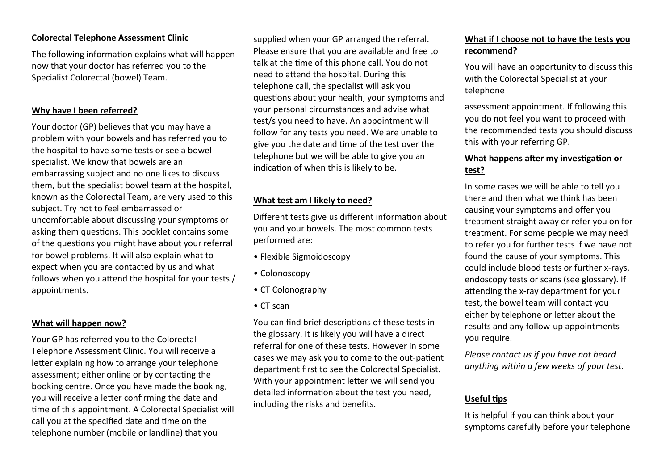### **Colorectal Telephone Assessment Clinic**

The following information explains what will happen now that your doctor has referred you to the Specialist Colorectal (bowel) Team.

### **Why have I been referred?**

Your doctor (GP) believes that you may have a problem with your bowels and has referred you to the hospital to have some tests or see a bowel specialist. We know that bowels are an embarrassing subject and no one likes to discuss them, but the specialist bowel team at the hospital, known as the Colorectal Team, are very used to this subject. Try not to feel embarrassed or uncomfortable about discussing your symptoms or asking them questions. This booklet contains some of the questions you might have about your referral for bowel problems. It will also explain what to expect when you are contacted by us and what follows when you attend the hospital for your tests / appointments.

#### **What will happen now?**

Your GP has referred you to the Colorectal Telephone Assessment Clinic. You will receive a letter explaining how to arrange your telephone assessment; either online or by contacting the booking centre. Once you have made the booking, you will receive a letter confirming the date and time of this appointment. A Colorectal Specialist will call you at the specified date and time on the telephone number (mobile or landline) that you

supplied when your GP arranged the referral. Please ensure that you are available and free to talk at the time of this phone call. You do not need to attend the hospital. During this telephone call, the specialist will ask you questions about your health, your symptoms and your personal circumstances and advise what test/s you need to have. An appointment will follow for any tests you need. We are unable to give you the date and time of the test over the telephone but we will be able to give you an indication of when this is likely to be.

### **What test am I likely to need?**

Different tests give us different information about you and your bowels. The most common tests performed are:

- Flexible Sigmoidoscopy
- Colonoscopy
- CT Colonography
- CT scan

You can find brief descriptions of these tests in the glossary. It is likely you will have a direct referral for one of these tests. However in some cases we may ask you to come to the out-patient department first to see the Colorectal Specialist. With your appointment letter we will send you detailed information about the test you need, including the risks and benefits.

# **What if I choose not to have the tests you recommend?**

You will have an opportunity to discuss this with the Colorectal Specialist at your telephone

assessment appointment. If following this you do not feel you want to proceed with the recommended tests you should discuss this with your referring GP.

## **What happens after my investigation or test?**

In some cases we will be able to tell you there and then what we think has been causing your symptoms and offer you treatment straight away or refer you on for treatment. For some people we may need to refer you for further tests if we have not found the cause of your symptoms. This could include blood tests or further x-rays, endoscopy tests or scans (see glossary). If attending the x-ray department for your test, the bowel team will contact you either by telephone or letter about the results and any follow-up appointments you require.

*Please contact us if you have not heard anything within a few weeks of your test.* 

# **Useful tips**

It is helpful if you can think about your symptoms carefully before your telephone